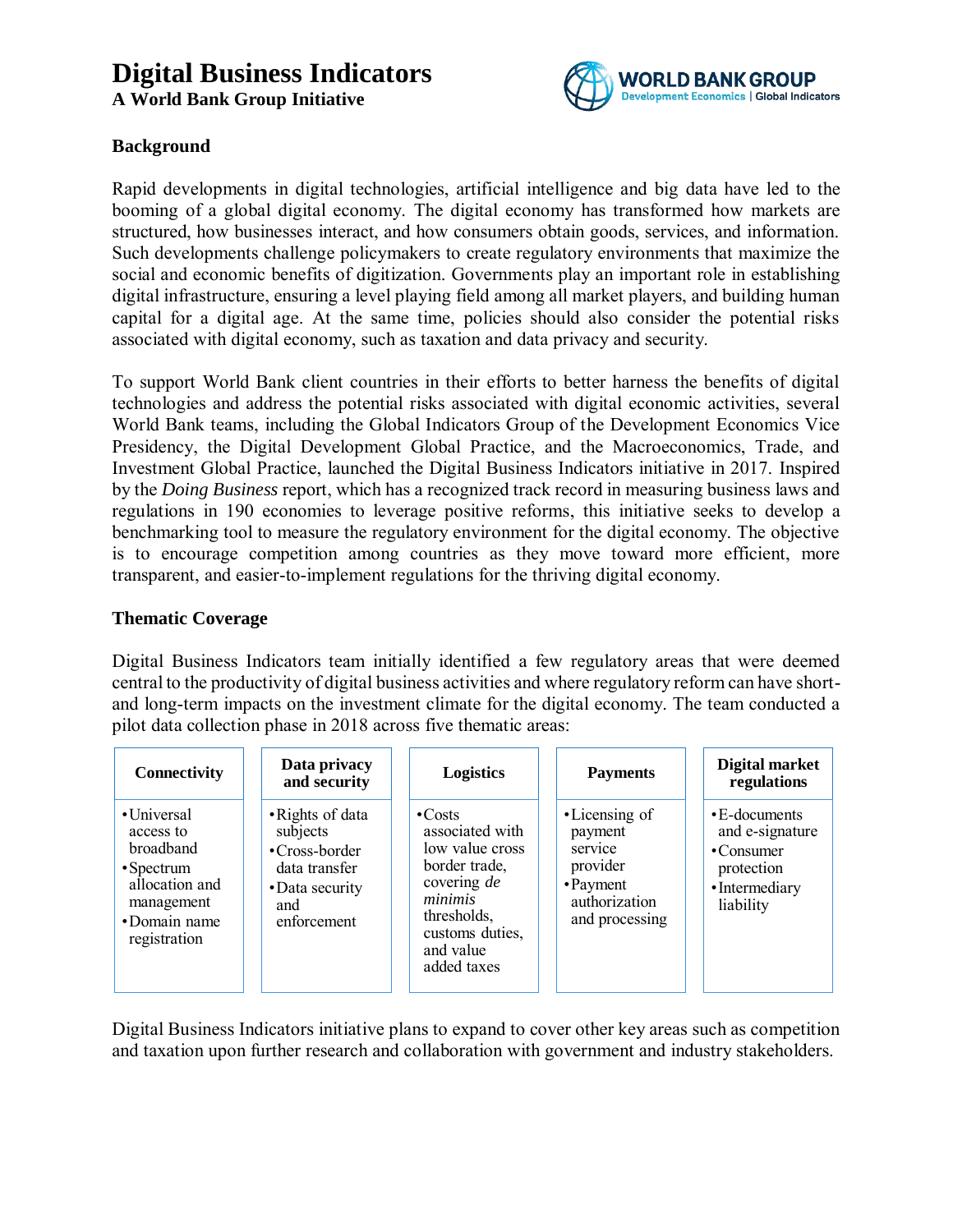# **Digital Business Indicators**

**A World Bank Group Initiative**



### **Background**

Rapid developments in digital technologies, artificial intelligence and big data have led to the booming of a global digital economy. The digital economy has transformed how markets are structured, how businesses interact, and how consumers obtain goods, services, and information. Such developments challenge policymakers to create regulatory environments that maximize the social and economic benefits of digitization. Governments play an important role in establishing digital infrastructure, ensuring a level playing field among all market players, and building human capital for a digital age. At the same time, policies should also consider the potential risks associated with digital economy, such as taxation and data privacy and security.

To support World Bank client countries in their efforts to better harness the benefits of digital technologies and address the potential risks associated with digital economic activities, several World Bank teams, including the Global Indicators Group of the Development Economics Vice Presidency, the Digital Development Global Practice, and the Macroeconomics, Trade, and Investment Global Practice, launched the Digital Business Indicators initiative in 2017. Inspired by the *Doing Business* report, which has a recognized track record in measuring business laws and regulations in 190 economies to leverage positive reforms, this initiative seeks to develop a benchmarking tool to measure the regulatory environment for the digital economy. The objective is to encourage competition among countries as they move toward more efficient, more transparent, and easier-to-implement regulations for the thriving digital economy.

### **Thematic Coverage**

Digital Business Indicators team initially identified a few regulatory areas that were deemed central to the productivity of digital business activities and where regulatory reform can have shortand long-term impacts on the investment climate for the digital economy. The team conducted a pilot data collection phase in 2018 across five thematic areas:

| Connectivity                                                                                                             | Data privacy<br>and security                                                                            | <b>Logistics</b>                                                                                                                                             | <b>Payments</b>                                                                                  | Digital market<br>regulations                                                                   |
|--------------------------------------------------------------------------------------------------------------------------|---------------------------------------------------------------------------------------------------------|--------------------------------------------------------------------------------------------------------------------------------------------------------------|--------------------------------------------------------------------------------------------------|-------------------------------------------------------------------------------------------------|
| •Universal<br>access to<br>broadband<br>$\cdot$ Spectrum<br>allocation and<br>management<br>•Domain name<br>registration | • Rights of data<br>subjects<br>•Cross-border<br>data transfer<br>• Data security<br>and<br>enforcement | $\cdot$ Costs<br>associated with<br>low value cross<br>border trade,<br>covering de<br>minimis<br>thresholds,<br>customs duties,<br>and value<br>added taxes | • Licensing of<br>payment<br>service<br>provider<br>• Payment<br>authorization<br>and processing | $\cdot$ E-documents<br>and e-signature<br>•Consumer<br>protection<br>•Intermediary<br>liability |

Digital Business Indicators initiative plans to expand to cover other key areas such as competition and taxation upon further research and collaboration with government and industry stakeholders.